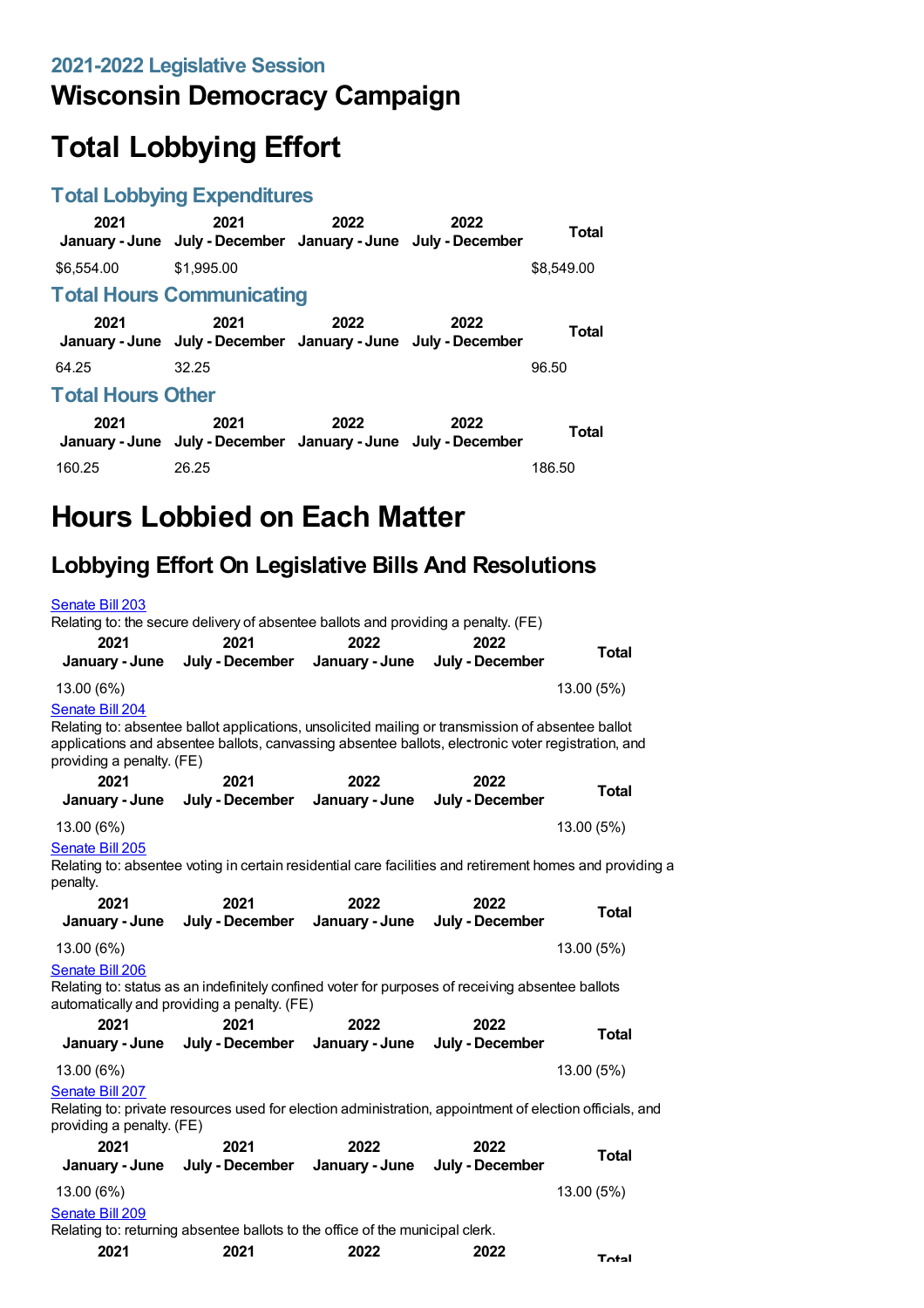### **Wisconsin Democracy Campaign**

# **Total Lobbying Effort**

#### **Total Lobbying Expenditures**

| 2021                             | 2021<br>January - June July - December January - June July - December | 2022 | 2022 | Total      |  |
|----------------------------------|-----------------------------------------------------------------------|------|------|------------|--|
| \$6,554,00                       | \$1,995.00                                                            |      |      | \$8,549.00 |  |
| <b>Total Hours Communicating</b> |                                                                       |      |      |            |  |
| 2021                             | 2021<br>January - June July - December January - June July - December | 2022 | 2022 | Total      |  |
| 64.25                            | 32.25                                                                 |      |      | 96.50      |  |
| <b>Total Hours Other</b>         |                                                                       |      |      |            |  |
| 2021                             | 2021<br>January - June July - December January - June July - December | 2022 | 2022 | Total      |  |
| 160.25                           | 26.25                                                                 |      |      | 186.50     |  |

## **Hours Lobbied on Each Matter**

### **Lobbying Effort On Legislative Bills And Resolutions**

| Senate Bill 203                                                                                                                                                                                                                                         | Relating to: the secure delivery of absentee ballots and providing a penalty. (FE)                                                              |                        |                         |              |
|---------------------------------------------------------------------------------------------------------------------------------------------------------------------------------------------------------------------------------------------------------|-------------------------------------------------------------------------------------------------------------------------------------------------|------------------------|-------------------------|--------------|
| 2021                                                                                                                                                                                                                                                    | 2021                                                                                                                                            | 2022                   | 2022                    |              |
| January - June                                                                                                                                                                                                                                          | July - December                                                                                                                                 | January - June         | July - December         | <b>Total</b> |
| 13.00 (6%)                                                                                                                                                                                                                                              |                                                                                                                                                 |                        |                         | 13.00 (5%)   |
| Senate Bill 204<br>Relating to: absentee ballot applications, unsolicited mailing or transmission of absentee ballot<br>applications and absentee ballots, canvassing absentee ballots, electronic voter registration, and<br>providing a penalty. (FE) |                                                                                                                                                 |                        |                         |              |
| 2021                                                                                                                                                                                                                                                    | 2021                                                                                                                                            | 2022                   | 2022                    | Total        |
| January - June                                                                                                                                                                                                                                          | July - December                                                                                                                                 | January - June         | July - December         |              |
| 13.00 (6%)                                                                                                                                                                                                                                              |                                                                                                                                                 |                        |                         | 13.00 (5%)   |
| Senate Bill 205<br>Relating to: absentee voting in certain residential care facilities and retirement homes and providing a<br>penalty.                                                                                                                 |                                                                                                                                                 |                        |                         |              |
| 2021                                                                                                                                                                                                                                                    | 2021                                                                                                                                            | 2022                   | 2022                    | <b>Total</b> |
| January - June                                                                                                                                                                                                                                          | July - December                                                                                                                                 | January - June         | July - December         |              |
| 13.00 (6%)                                                                                                                                                                                                                                              |                                                                                                                                                 |                        |                         | 13.00 (5%)   |
| Senate Bill 206                                                                                                                                                                                                                                         | Relating to: status as an indefinitely confined voter for purposes of receiving absentee ballots<br>automatically and providing a penalty. (FE) |                        |                         |              |
| 2021<br>January - June                                                                                                                                                                                                                                  | 2021<br>July - December                                                                                                                         | 2022<br>January - June | 2022<br>July - December | <b>Total</b> |
| 13.00 (6%)                                                                                                                                                                                                                                              |                                                                                                                                                 |                        |                         | 13.00 (5%)   |
| Senate Bill 207<br>providing a penalty. (FE)                                                                                                                                                                                                            | Relating to: private resources used for election administration, appointment of election officials, and                                         |                        |                         |              |
| 2021                                                                                                                                                                                                                                                    | 2021                                                                                                                                            | 2022                   | 2022                    | <b>Total</b> |
| January - June                                                                                                                                                                                                                                          | July - December                                                                                                                                 | January - June         | July - December         |              |
| 13.00 (6%)                                                                                                                                                                                                                                              |                                                                                                                                                 |                        |                         | 13.00 (5%)   |
| Senate Bill 209                                                                                                                                                                                                                                         |                                                                                                                                                 |                        |                         |              |
| Relating to: returning absentee ballots to the office of the municipal clerk.                                                                                                                                                                           |                                                                                                                                                 |                        |                         |              |
| 2021                                                                                                                                                                                                                                                    | 2021                                                                                                                                            | 2022                   | 2022                    | Total        |